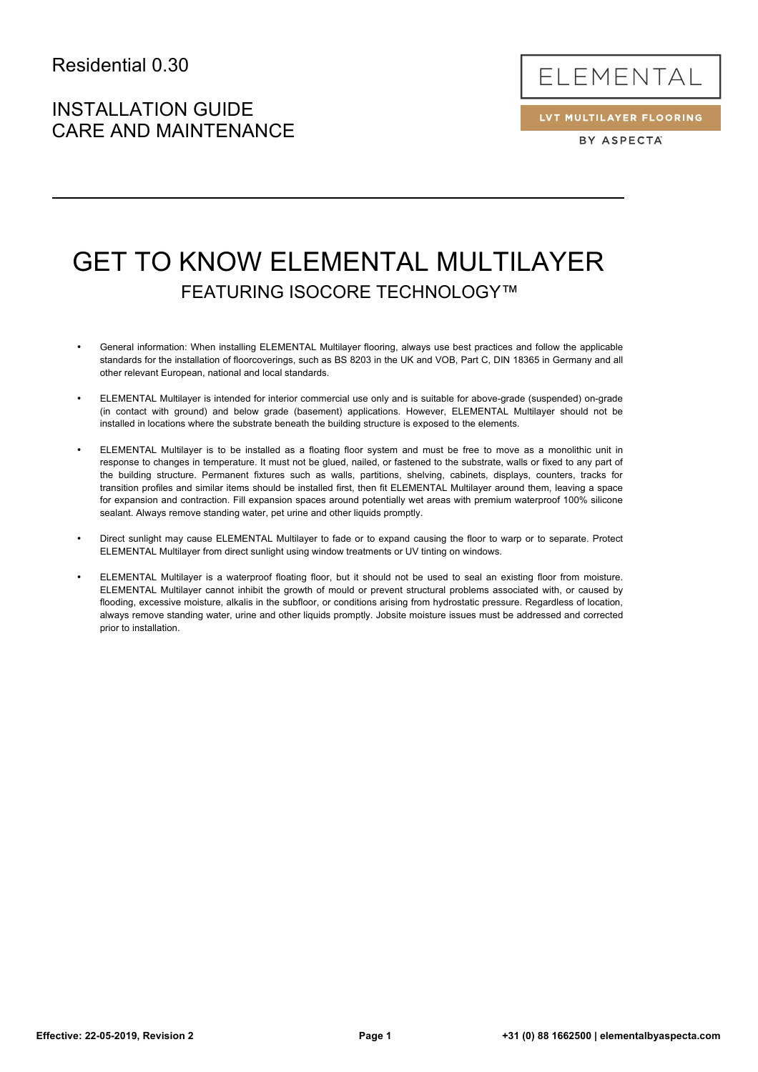# INSTALLATION GUIDE CARE AND MAINTENANCE



LVT MULTILAYER FLOORING BY ASPECTA

# GET TO KNOW ELEMENTAL MULTILAYER FEATURING ISOCORE TECHNOLOGY™

- General information: When installing ELEMENTAL Multilayer flooring, always use best practices and follow the applicable standards for the installation of floorcoverings, such as BS 8203 in the UK and VOB, Part C, DIN 18365 in Germany and all other relevant European, national and local standards.
- ELEMENTAL Multilayer is intended for interior commercial use only and is suitable for above-grade (suspended) on-grade (in contact with ground) and below grade (basement) applications. However, ELEMENTAL Multilayer should not be installed in locations where the substrate beneath the building structure is exposed to the elements.
- ELEMENTAL Multilayer is to be installed as a floating floor system and must be free to move as a monolithic unit in response to changes in temperature. It must not be glued, nailed, or fastened to the substrate, walls or fixed to any part of the building structure. Permanent fixtures such as walls, partitions, shelving, cabinets, displays, counters, tracks for transition profiles and similar items should be installed first, then fit ELEMENTAL Multilayer around them, leaving a space for expansion and contraction. Fill expansion spaces around potentially wet areas with premium waterproof 100% silicone sealant. Always remove standing water, pet urine and other liquids promptly.
- Direct sunlight may cause ELEMENTAL Multilayer to fade or to expand causing the floor to warp or to separate. Protect ELEMENTAL Multilayer from direct sunlight using window treatments or UV tinting on windows.
- ELEMENTAL Multilayer is a waterproof floating floor, but it should not be used to seal an existing floor from moisture. ELEMENTAL Multilayer cannot inhibit the growth of mould or prevent structural problems associated with, or caused by flooding, excessive moisture, alkalis in the subfloor, or conditions arising from hydrostatic pressure. Regardless of location, always remove standing water, urine and other liquids promptly. Jobsite moisture issues must be addressed and corrected prior to installation.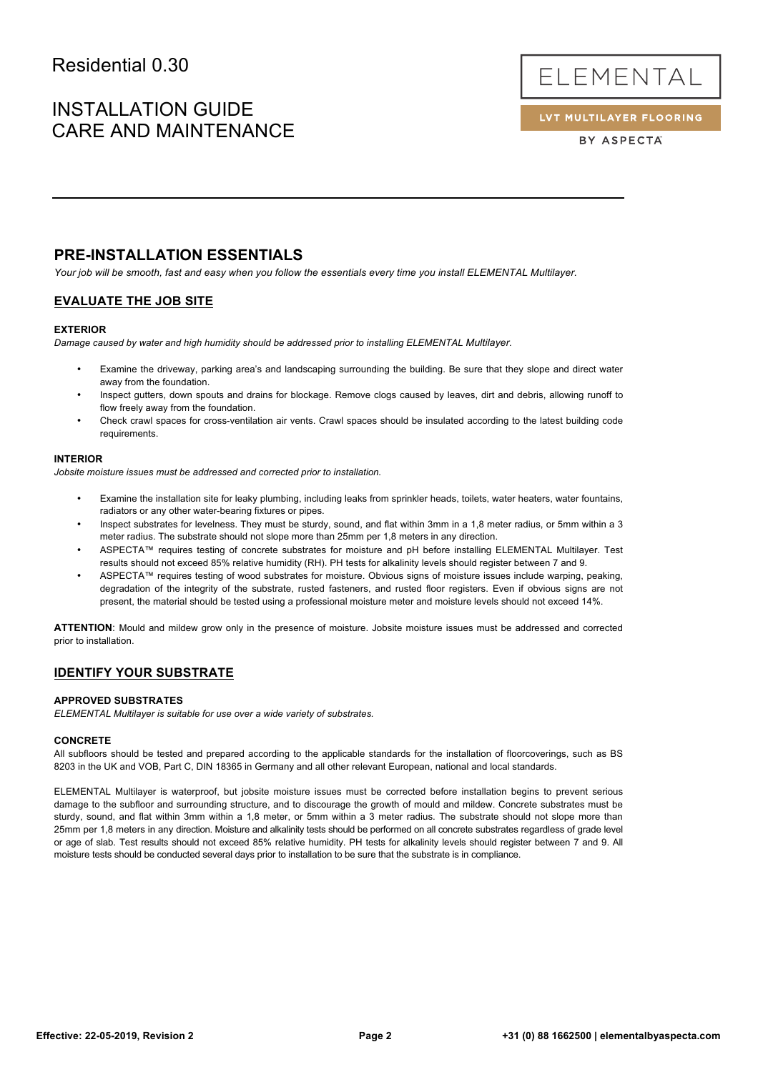# INSTALLATION GUIDE CARE AND MAINTENANCE



LVT MULTILAYER FLOORING

BY ASPECTA

## **PRE-INSTALLATION ESSENTIALS**

*Your job will be smooth, fast and easy when you follow the essentials every time you install ELEMENTAL Multilayer.*

### **EVALUATE THE JOB SITE**

### **EXTERIOR**

*Damage caused by water and high humidity should be addressed prior to installing ELEMENTAL Multilayer.*

- Examine the driveway, parking area's and landscaping surrounding the building. Be sure that they slope and direct water away from the foundation.
- Inspect gutters, down spouts and drains for blockage. Remove clogs caused by leaves, dirt and debris, allowing runoff to flow freely away from the foundation.
- Check crawl spaces for cross-ventilation air vents. Crawl spaces should be insulated according to the latest building code requirements.

### **INTERIOR**

*Jobsite moisture issues must be addressed and corrected prior to installation.*

- Examine the installation site for leaky plumbing, including leaks from sprinkler heads, toilets, water heaters, water fountains, radiators or any other water-bearing fixtures or pipes.
- Inspect substrates for levelness. They must be sturdy, sound, and flat within 3mm in a 1,8 meter radius, or 5mm within a 3 meter radius. The substrate should not slope more than 25mm per 1,8 meters in any direction.
- ASPECTA™ requires testing of concrete substrates for moisture and pH before installing ELEMENTAL Multilayer. Test results should not exceed 85% relative humidity (RH). PH tests for alkalinity levels should register between 7 and 9.
- ASPECTA™ requires testing of wood substrates for moisture. Obvious signs of moisture issues include warping, peaking, degradation of the integrity of the substrate, rusted fasteners, and rusted floor registers. Even if obvious signs are not present, the material should be tested using a professional moisture meter and moisture levels should not exceed 14%.

**ATTENTION**: Mould and mildew grow only in the presence of moisture. Jobsite moisture issues must be addressed and corrected prior to installation.

### **IDENTIFY YOUR SUBSTRATE**

### **APPROVED SUBSTRATES**

*ELEMENTAL Multilayer is suitable for use over a wide variety of substrates.*

#### **CONCRETE**

All subfloors should be tested and prepared according to the applicable standards for the installation of floorcoverings, such as BS 8203 in the UK and VOB, Part C, DIN 18365 in Germany and all other relevant European, national and local standards.

ELEMENTAL Multilayer is waterproof, but jobsite moisture issues must be corrected before installation begins to prevent serious damage to the subfloor and surrounding structure, and to discourage the growth of mould and mildew. Concrete substrates must be sturdy, sound, and flat within 3mm within a 1,8 meter, or 5mm within a 3 meter radius. The substrate should not slope more than 25mm per 1,8 meters in any direction. Moisture and alkalinity tests should be performed on all concrete substrates regardless of grade level or age of slab. Test results should not exceed 85% relative humidity. PH tests for alkalinity levels should register between 7 and 9. All moisture tests should be conducted several days prior to installation to be sure that the substrate is in compliance.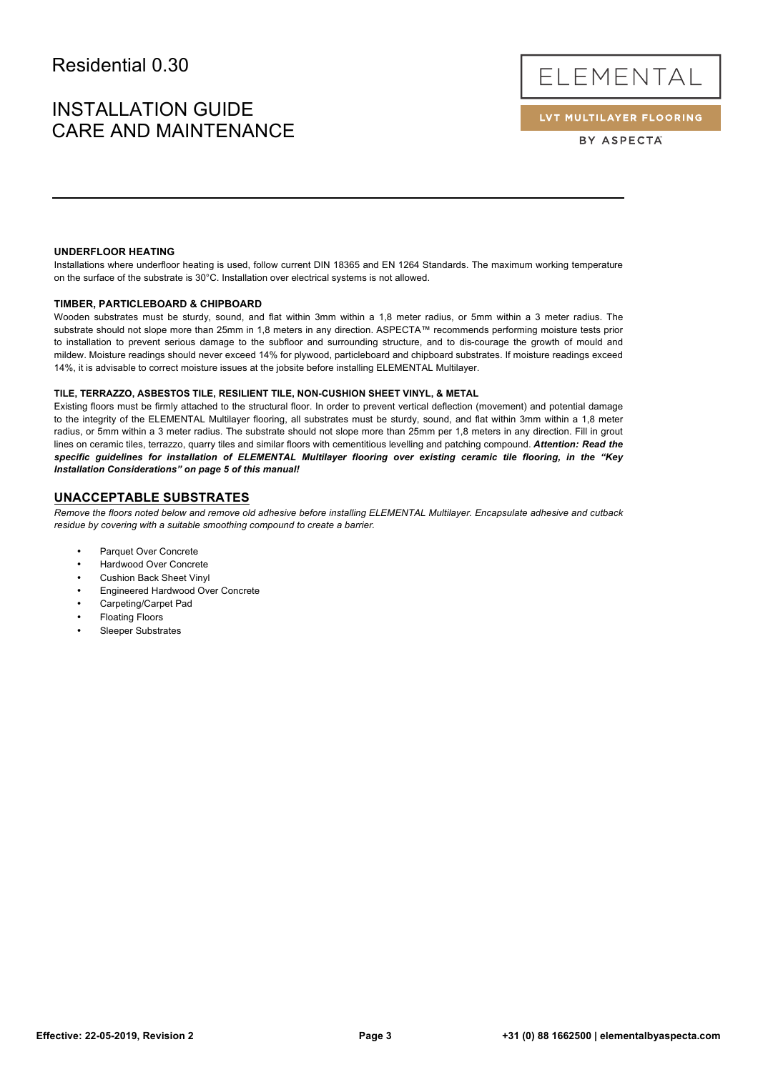# INSTALLATION GUIDE CARE AND MAINTENANCE

ELEMENTAL

LVT MULTILAYER FLOORING

BY ASPECTA

### **UNDERFLOOR HEATING**

Installations where underfloor heating is used, follow current DIN 18365 and EN 1264 Standards. The maximum working temperature on the surface of the substrate is 30°C. Installation over electrical systems is not allowed.

### **TIMBER, PARTICLEBOARD & CHIPBOARD**

Wooden substrates must be sturdy, sound, and flat within 3mm within a 1,8 meter radius, or 5mm within a 3 meter radius. The substrate should not slope more than 25mm in 1,8 meters in any direction. ASPECTA™ recommends performing moisture tests prior to installation to prevent serious damage to the subfloor and surrounding structure, and to dis-courage the growth of mould and mildew. Moisture readings should never exceed 14% for plywood, particleboard and chipboard substrates. If moisture readings exceed 14%, it is advisable to correct moisture issues at the jobsite before installing ELEMENTAL Multilayer.

#### **TILE, TERRAZZO, ASBESTOS TILE, RESILIENT TILE, NON-CUSHION SHEET VINYL, & METAL**

Existing floors must be firmly attached to the structural floor. In order to prevent vertical deflection (movement) and potential damage to the integrity of the ELEMENTAL Multilayer flooring, all substrates must be sturdy, sound, and flat within 3mm within a 1,8 meter radius, or 5mm within a 3 meter radius. The substrate should not slope more than 25mm per 1,8 meters in any direction. Fill in grout lines on ceramic tiles, terrazzo, quarry tiles and similar floors with cementitious levelling and patching compound. *Attention: Read the specific guidelines for installation of ELEMENTAL Multilayer flooring over existing ceramic tile flooring, in the "Key Installation Considerations" on page 5 of this manual!* 

### **UNACCEPTABLE SUBSTRATES**

*Remove the floors noted below and remove old adhesive before installing ELEMENTAL Multilayer. Encapsulate adhesive and cutback residue by covering with a suitable smoothing compound to create a barrier.*

- Parquet Over Concrete
- Hardwood Over Concrete
- Cushion Back Sheet Vinyl
- Engineered Hardwood Over Concrete
- Carpeting/Carpet Pad
- Floating Floors
- Sleeper Substrates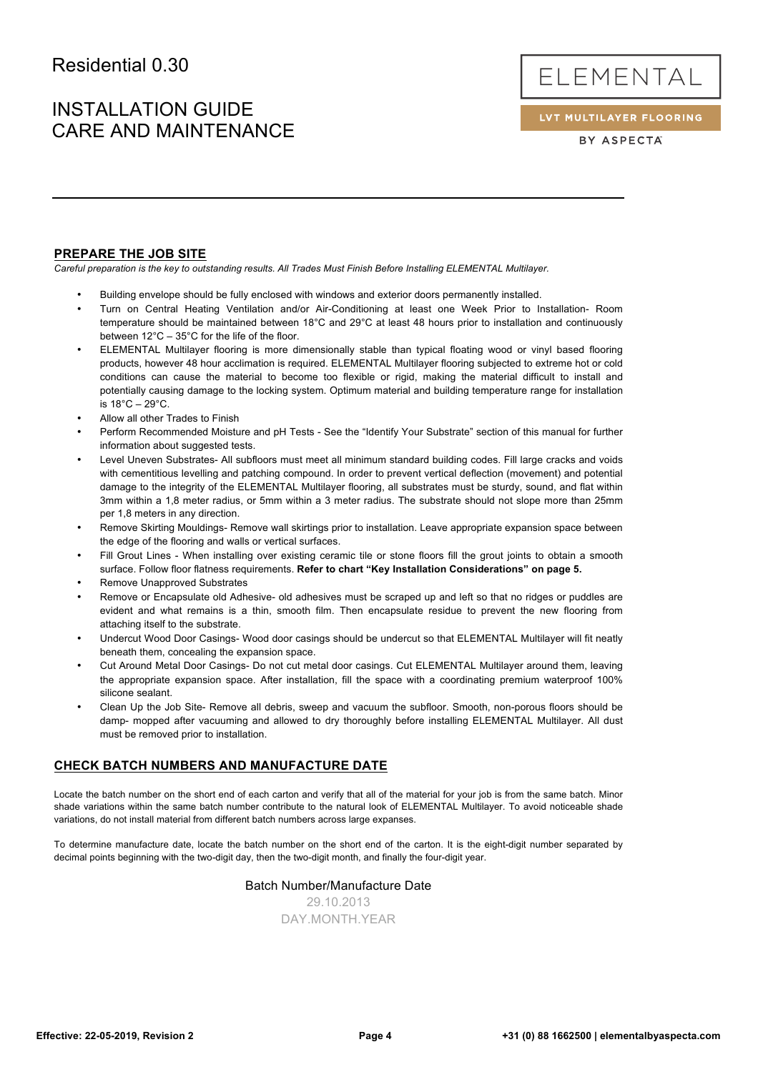# INSTALLATION GUIDE CARE AND MAINTENANCE

ELEMENTAL

LVT MULTILAYER FLOORING

BY ASPECTA

### **PREPARE THE JOB SITE**

*Careful preparation is the key to outstanding results. All Trades Must Finish Before Installing ELEMENTAL Multilayer.*

- Building envelope should be fully enclosed with windows and exterior doors permanently installed.
- Turn on Central Heating Ventilation and/or Air-Conditioning at least one Week Prior to Installation- Room temperature should be maintained between 18°C and 29°C at least 48 hours prior to installation and continuously between 12°C – 35°C for the life of the floor.
- ELEMENTAL Multilayer flooring is more dimensionally stable than typical floating wood or vinyl based flooring products, however 48 hour acclimation is required. ELEMENTAL Multilayer flooring subjected to extreme hot or cold conditions can cause the material to become too flexible or rigid, making the material difficult to install and potentially causing damage to the locking system. Optimum material and building temperature range for installation is 18°C – 29°C.
- Allow all other Trades to Finish
- Perform Recommended Moisture and pH Tests See the "Identify Your Substrate" section of this manual for further information about suggested tests.
- Level Uneven Substrates- All subfloors must meet all minimum standard building codes. Fill large cracks and voids with cementitious levelling and patching compound. In order to prevent vertical deflection (movement) and potential damage to the integrity of the ELEMENTAL Multilayer flooring, all substrates must be sturdy, sound, and flat within 3mm within a 1,8 meter radius, or 5mm within a 3 meter radius. The substrate should not slope more than 25mm per 1,8 meters in any direction.
- Remove Skirting Mouldings- Remove wall skirtings prior to installation. Leave appropriate expansion space between the edge of the flooring and walls or vertical surfaces.
- Fill Grout Lines When installing over existing ceramic tile or stone floors fill the grout joints to obtain a smooth surface. Follow floor flatness requirements. **Refer to chart "Key Installation Considerations" on page 5.**
- Remove Unapproved Substrates
- Remove or Encapsulate old Adhesive- old adhesives must be scraped up and left so that no ridges or puddles are evident and what remains is a thin, smooth film. Then encapsulate residue to prevent the new flooring from attaching itself to the substrate.
- Undercut Wood Door Casings- Wood door casings should be undercut so that ELEMENTAL Multilayer will fit neatly beneath them, concealing the expansion space.
- Cut Around Metal Door Casings- Do not cut metal door casings. Cut ELEMENTAL Multilayer around them, leaving the appropriate expansion space. After installation, fill the space with a coordinating premium waterproof 100% silicone sealant.
- Clean Up the Job Site- Remove all debris, sweep and vacuum the subfloor. Smooth, non-porous floors should be damp- mopped after vacuuming and allowed to dry thoroughly before installing ELEMENTAL Multilayer. All dust must be removed prior to installation.

### **CHECK BATCH NUMBERS AND MANUFACTURE DATE**

Locate the batch number on the short end of each carton and verify that all of the material for your job is from the same batch. Minor shade variations within the same batch number contribute to the natural look of ELEMENTAL Multilayer. To avoid noticeable shade variations, do not install material from different batch numbers across large expanses.

To determine manufacture date, locate the batch number on the short end of the carton. It is the eight-digit number separated by decimal points beginning with the two-digit day, then the two-digit month, and finally the four-digit year.

### Batch Number/Manufacture Date

29.10.2013 DAY.MONTH.YEAR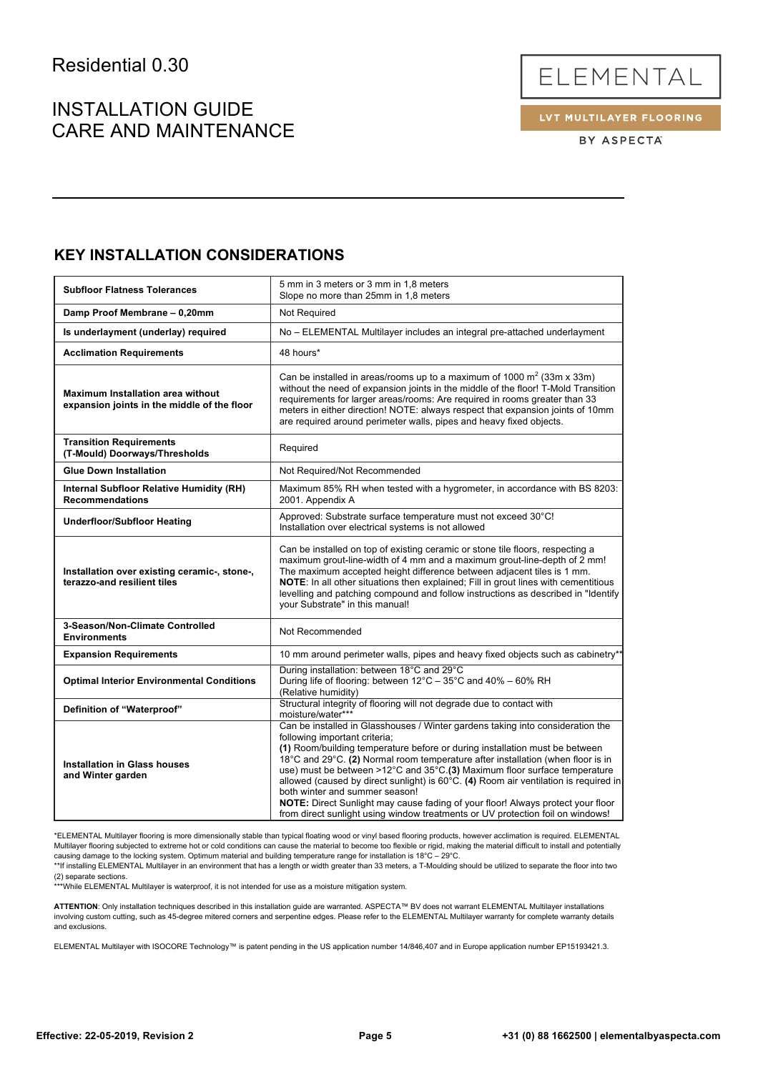# INSTALLATION GUIDE CARE AND MAINTENANCE

ELEMENTAL

LVT MULTILAYER FLOORING

BY ASPECTA

## **KEY INSTALLATION CONSIDERATIONS**

| <b>Subfloor Flatness Tolerances</b>                                                     | 5 mm in 3 meters or 3 mm in 1,8 meters<br>Slope no more than 25mm in 1,8 meters                                                                                                                                                                                                                                                                                                                                                                                                                                                                                                                                                                               |
|-----------------------------------------------------------------------------------------|---------------------------------------------------------------------------------------------------------------------------------------------------------------------------------------------------------------------------------------------------------------------------------------------------------------------------------------------------------------------------------------------------------------------------------------------------------------------------------------------------------------------------------------------------------------------------------------------------------------------------------------------------------------|
| Damp Proof Membrane - 0,20mm                                                            | Not Required                                                                                                                                                                                                                                                                                                                                                                                                                                                                                                                                                                                                                                                  |
| Is underlayment (underlay) required                                                     | No - ELEMENTAL Multilayer includes an integral pre-attached underlayment                                                                                                                                                                                                                                                                                                                                                                                                                                                                                                                                                                                      |
| <b>Acclimation Requirements</b>                                                         | 48 hours*                                                                                                                                                                                                                                                                                                                                                                                                                                                                                                                                                                                                                                                     |
| <b>Maximum Installation area without</b><br>expansion joints in the middle of the floor | Can be installed in areas/rooms up to a maximum of 1000 $m^2$ (33m x 33m)<br>without the need of expansion joints in the middle of the floor! T-Mold Transition<br>requirements for larger areas/rooms: Are required in rooms greater than 33<br>meters in either direction! NOTE: always respect that expansion joints of 10mm<br>are required around perimeter walls, pipes and heavy fixed objects.                                                                                                                                                                                                                                                        |
| <b>Transition Requirements</b><br>(T-Mould) Doorways/Thresholds                         | Required                                                                                                                                                                                                                                                                                                                                                                                                                                                                                                                                                                                                                                                      |
| <b>Glue Down Installation</b>                                                           | Not Required/Not Recommended                                                                                                                                                                                                                                                                                                                                                                                                                                                                                                                                                                                                                                  |
| <b>Internal Subfloor Relative Humidity (RH)</b><br><b>Recommendations</b>               | Maximum 85% RH when tested with a hygrometer, in accordance with BS 8203:<br>2001. Appendix A                                                                                                                                                                                                                                                                                                                                                                                                                                                                                                                                                                 |
| <b>Underfloor/Subfloor Heating</b>                                                      | Approved: Substrate surface temperature must not exceed 30°C!<br>Installation over electrical systems is not allowed                                                                                                                                                                                                                                                                                                                                                                                                                                                                                                                                          |
| Installation over existing ceramic-, stone-,<br>terazzo-and resilient tiles             | Can be installed on top of existing ceramic or stone tile floors, respecting a<br>maximum grout-line-width of 4 mm and a maximum grout-line-depth of 2 mm!<br>The maximum accepted height difference between adjacent tiles is 1 mm.<br>NOTE: In all other situations then explained; Fill in grout lines with cementitious<br>levelling and patching compound and follow instructions as described in "Identify<br>your Substrate" in this manual!                                                                                                                                                                                                           |
| 3-Season/Non-Climate Controlled<br><b>Environments</b>                                  | Not Recommended                                                                                                                                                                                                                                                                                                                                                                                                                                                                                                                                                                                                                                               |
| <b>Expansion Requirements</b>                                                           | 10 mm around perimeter walls, pipes and heavy fixed objects such as cabinetry**                                                                                                                                                                                                                                                                                                                                                                                                                                                                                                                                                                               |
| <b>Optimal Interior Environmental Conditions</b>                                        | During installation: between 18°C and 29°C<br>During life of flooring: between 12°C - 35°C and 40% - 60% RH<br>(Relative humidity)                                                                                                                                                                                                                                                                                                                                                                                                                                                                                                                            |
| Definition of "Waterproof"                                                              | Structural integrity of flooring will not degrade due to contact with<br>moisture/water***                                                                                                                                                                                                                                                                                                                                                                                                                                                                                                                                                                    |
| <b>Installation in Glass houses</b><br>and Winter garden                                | Can be installed in Glasshouses / Winter gardens taking into consideration the<br>following important criteria;<br>(1) Room/building temperature before or during installation must be between<br>18°C and 29°C. (2) Normal room temperature after installation (when floor is in<br>use) must be between >12°C and 35°C.(3) Maximum floor surface temperature<br>allowed (caused by direct sunlight) is 60°C. (4) Room air ventilation is required in<br>both winter and summer season!<br>NOTE: Direct Sunlight may cause fading of your floor! Always protect your floor<br>from direct sunlight using window treatments or UV protection foil on windows! |

\*ELEMENTAL Multilayer flooring is more dimensionally stable than typical floating wood or vinyl based flooring products, however acclimation is required. ELEMENTAL Multilayer flooring subjected to extreme hot or cold conditions can cause the material to become too flexible or rigid, making the material difficult to install and potentially

causing damage to the locking system. Optimum material and building temperature range for installation is 18°C – 29°C.<br>\*\*If installing ELEMENTAL Multilayer in an environment that has a length or width greater than 33 meter

(2) separate sections. \*\*\*While ELEMENTAL Multilayer is waterproof, it is not intended for use as a moisture mitigation system.

**ATTENTION**: Only installation techniques described in this installation guide are warranted. ASPECTA™ BV does not warrant ELEMENTAL Multilayer installations<br>involving custom cutting, such as 45-degree mitered corners and and exclusions.

ELEMENTAL Multilayer with ISOCORE Technology™ is patent pending in the US application number 14/846,407 and in Europe application number EP15193421.3.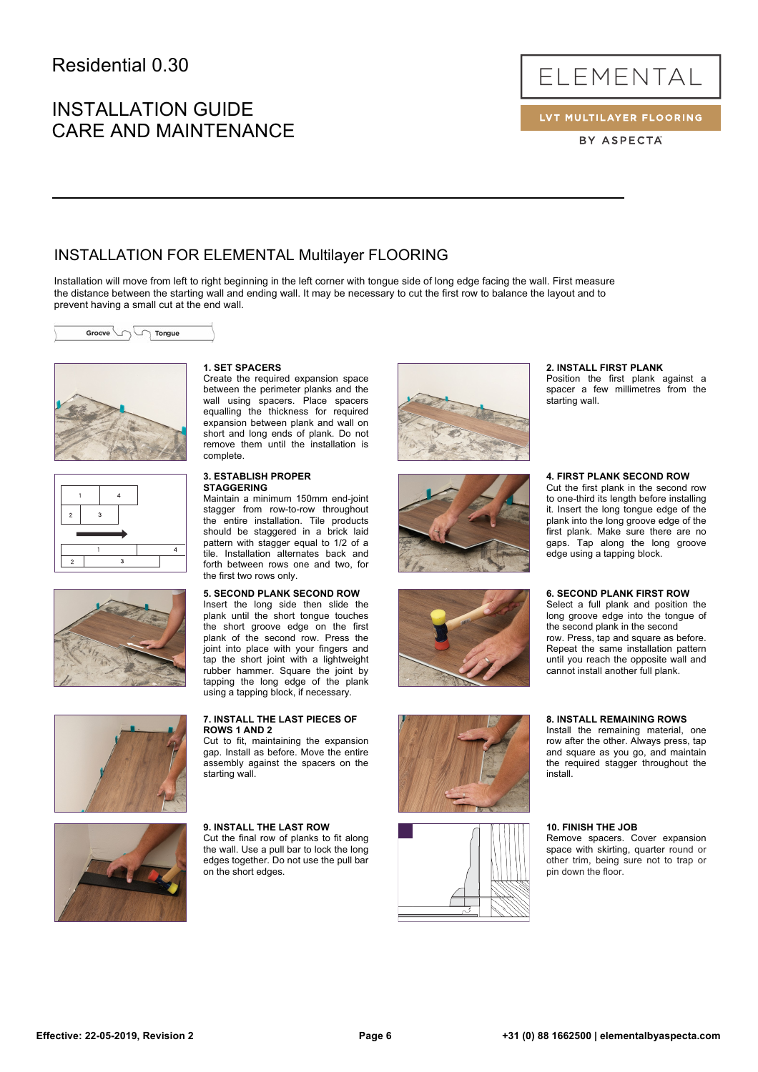# INSTALLATION GUIDE CARE AND MAINTENANCE



LVT MULTILAYER FLOORING

BY ASPECTA

## INSTALLATION FOR ELEMENTAL Multilayer FLOORING

Installation will move from left to right beginning in the left corner with tongue side of long edge facing the wall. First measure the distance between the starting wall and ending wall. It may be necessary to cut the first row to balance the layout and to prevent having a small cut at the end wall.











### **1. SET SPACERS**

Create the required expansion space between the perimeter planks and the wall using spacers. Place spacers equalling the thickness for required expansion between plank and wall on short and long ends of plank. Do not remove them until the installation is complete.

#### **3. ESTABLISH PROPER STAGGERING**

Maintain a minimum 150mm end-joint stagger from row-to-row throughout the entire installation. Tile products should be staggered in a brick laid pattern with stagger equal to 1/2 of a tile. Installation alternates back and forth between rows one and two, for the first two rows only.

### **5. SECOND PLANK SECOND ROW**

Insert the long side then slide the plank until the short tongue touches the short groove edge on the first plank of the second row. Press the joint into place with your fingers and tap the short joint with a lightweight rubber hammer. Square the joint by tapping the long edge of the plank using a tapping block, if necessary.

### **7. INSTALL THE LAST PIECES OF ROWS 1 AND 2**

Cut to fit, maintaining the expansion gap. Install as before. Move the entire assembly against the spacers on the starting wall.



#### **9. INSTALL THE LAST ROW**

Cut the final row of planks to fit along the wall. Use a pull bar to lock the long edges together. Do not use the pull bar on the short edges.



### **2. INSTALL FIRST PLANK**

Position the first plank against a spacer a few millimetres from the starting wall.









it. Insert the long tongue edge of the plank into the long groove edge of the first plank. Make sure there are no gaps. Tap along the long groove edge using a tapping block.

**4. FIRST PLANK SECOND ROW** Cut the first plank in the second row to one-third its length before installing

#### **6. SECOND PLANK FIRST ROW**

Select a full plank and position the long groove edge into the tongue of the second plank in the second row. Press, tap and square as before. Repeat the same installation pattern until you reach the opposite wall and cannot install another full plank.

#### **8. INSTALL REMAINING ROWS**

Install the remaining material, one row after the other. Always press, tap and square as you go, and maintain the required stagger throughout the install.

#### **10. FINISH THE JOB**

Remove spacers. Cover expansion space with skirting, quarter round or other trim, being sure not to trap or pin down the floor.